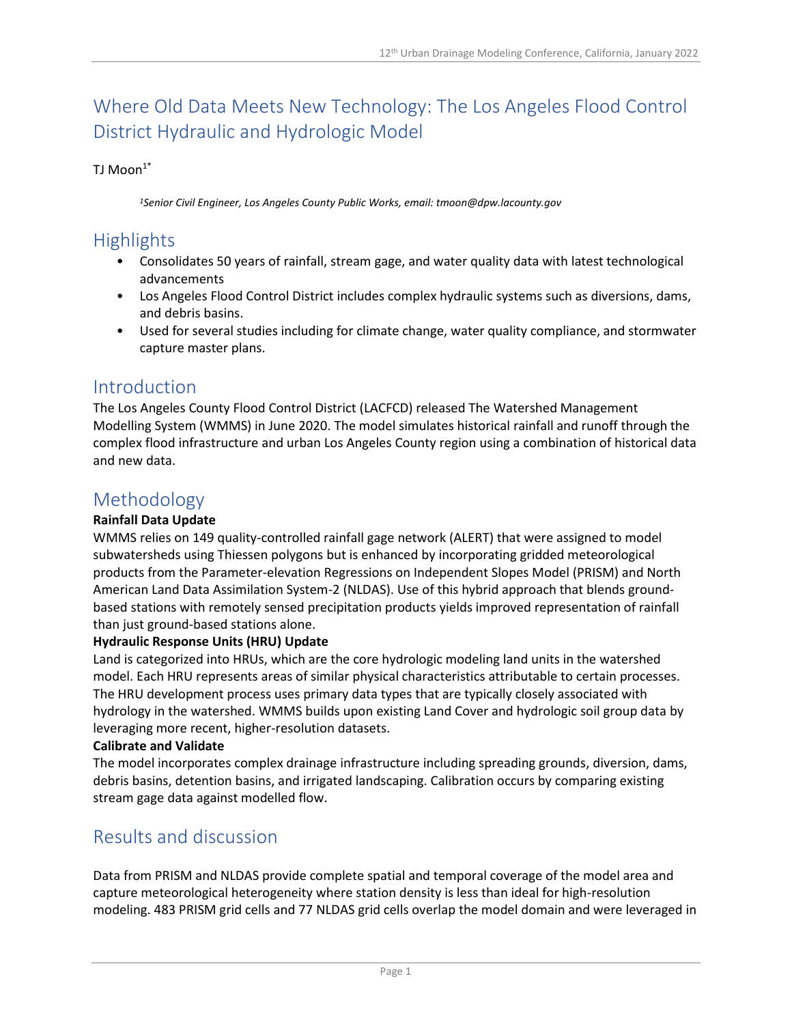# Where Old Data Meets New Technology: The Los Angeles Flood Control District Hydraulic and Hydrologic Model

### TJ Moon $1^*$

*<sup>1</sup>Senior Civil Engineer, Los Angeles County Public Works, email: tmoon@dpw.lacounty.gov*

## Highlights

- Consolidates 50 years of rainfall, stream gage, and water quality data with latest technological advancements
- Los Angeles Flood Control District includes complex hydraulic systems such as diversions, dams, and debris basins.
- Used for several studies including for climate change, water quality compliance, and stormwater capture master plans.

### Introduction

The Los Angeles County Flood Control District (LACFCD) released The Watershed Management Modelling System (WMMS) in June 2020. The model simulates historical rainfall and runoff through the complex flood infrastructure and urban Los Angeles County region using a combination of historical data and new data.

### Methodology

#### **Rainfall Data Update**

WMMS relies on 149 quality-controlled rainfall gage network (ALERT) that were assigned to model subwatersheds using Thiessen polygons but is enhanced by incorporating gridded meteorological products from the Parameter-elevation Regressions on Independent Slopes Model (PRISM) and North American Land Data Assimilation System-2 (NLDAS). Use of this hybrid approach that blends groundbased stations with remotely sensed precipitation products yields improved representation of rainfall than just ground-based stations alone.

#### **Hydraulic Response Units (HRU) Update**

Land is categorized into HRUs, which are the core hydrologic modeling land units in the watershed model. Each HRU represents areas of similar physical characteristics attributable to certain processes. The HRU development process uses primary data types that are typically closely associated with hydrology in the watershed. WMMS builds upon existing Land Cover and hydrologic soil group data by leveraging more recent, higher-resolution datasets.

#### **Calibrate and Validate**

The model incorporates complex drainage infrastructure including spreading grounds, diversion, dams, debris basins, detention basins, and irrigated landscaping. Calibration occurs by comparing existing stream gage data against modelled flow.

## Results and discussion

Data from PRISM and NLDAS provide complete spatial and temporal coverage of the model area and capture meteorological heterogeneity where station density is less than ideal for high-resolution modeling. 483 PRISM grid cells and 77 NLDAS grid cells overlap the model domain and were leveraged in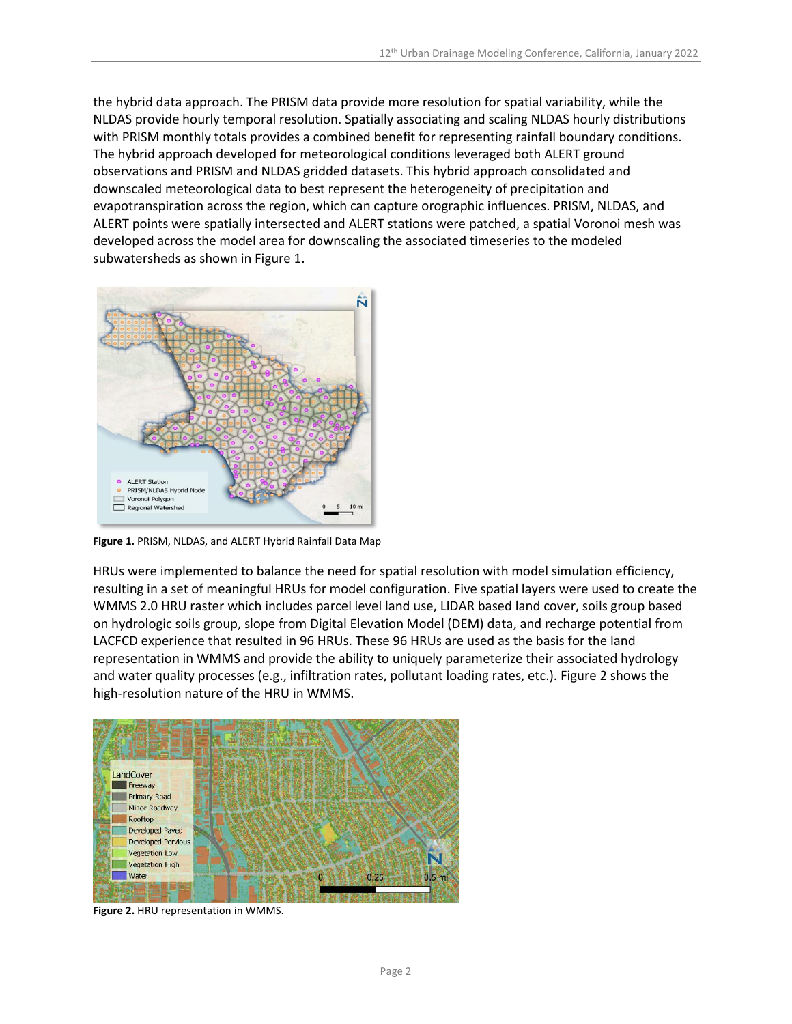the hybrid data approach. The PRISM data provide more resolution for spatial variability, while the NLDAS provide hourly temporal resolution. Spatially associating and scaling NLDAS hourly distributions with PRISM monthly totals provides a combined benefit for representing rainfall boundary conditions. The hybrid approach developed for meteorological conditions leveraged both ALERT ground observations and PRISM and NLDAS gridded datasets. This hybrid approach consolidated and downscaled meteorological data to best represent the heterogeneity of precipitation and evapotranspiration across the region, which can capture orographic influences. PRISM, NLDAS, and ALERT points were spatially intersected and ALERT stations were patched, a spatial Voronoi mesh was developed across the model area for downscaling the associated timeseries to the modeled subwatersheds as shown in Figure 1.



**Figure 1.** PRISM, NLDAS, and ALERT Hybrid Rainfall Data Map

HRUs were implemented to balance the need for spatial resolution with model simulation efficiency, resulting in a set of meaningful HRUs for model configuration. Five spatial layers were used to create the WMMS 2.0 HRU raster which includes parcel level land use, LIDAR based land cover, soils group based on hydrologic soils group, slope from Digital Elevation Model (DEM) data, and recharge potential from LACFCD experience that resulted in 96 HRUs. These 96 HRUs are used as the basis for the land representation in WMMS and provide the ability to uniquely parameterize their associated hydrology and water quality processes (e.g., infiltration rates, pollutant loading rates, etc.). Figure 2 shows the high-resolution nature of the HRU in WMMS.



**Figure 2.** HRU representation in WMMS.